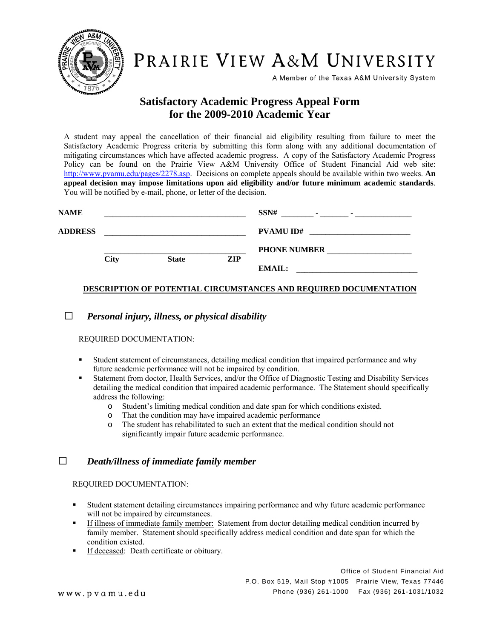

PRAIRIE VIEW A&M UNIVERSITY

A Member of the Texas A&M University System

# **Satisfactory Academic Progress Appeal Form for the 2009-2010 Academic Year**

A student may appeal the cancellation of their financial aid eligibility resulting from failure to meet the Satisfactory Academic Progress criteria by submitting this form along with any additional documentation of mitigating circumstances which have affected academic progress. A copy of the Satisfactory Academic Progress Policy can be found on the Prairie View A&M University Office of Student Financial Aid web site: http://www.pvamu.edu/pages/2278.asp. Decisions on complete appeals should be available within two weeks. **An appeal decision may impose limitations upon aid eligibility and/or future minimum academic standards**. You will be notified by e-mail, phone, or letter of the decision.

| <b>NAME</b>    |             |              |     | SSN#<br>$\overline{\phantom{0}}$<br>$\overline{\phantom{a}}$ |
|----------------|-------------|--------------|-----|--------------------------------------------------------------|
| <b>ADDRESS</b> |             |              |     | <b>PVAMU ID#</b>                                             |
|                |             |              |     | <b>PHONE NUMBER</b>                                          |
|                | <b>City</b> | <b>State</b> | ZIP | <b>EMAIL:</b>                                                |

**DESCRIPTION OF POTENTIAL CIRCUMSTANCES AND REQUIRED DOCUMENTATION**

□ *Personal injury, illness, or physical disability*

REQUIRED DOCUMENTATION:

- Student statement of circumstances, detailing medical condition that impaired performance and why future academic performance will not be impaired by condition.
- Statement from doctor, Health Services, and/or the Office of Diagnostic Testing and Disability Services detailing the medical condition that impaired academic performance. The Statement should specifically address the following:
	- o Student's limiting medical condition and date span for which conditions existed.
	- o That the condition may have impaired academic performance
	- o The student has rehabilitated to such an extent that the medical condition should not significantly impair future academic performance.

### □ *Death/illness of immediate family member*

REQUIRED DOCUMENTATION:

- Student statement detailing circumstances impairing performance and why future academic performance will not be impaired by circumstances.
- If illness of immediate family member: Statement from doctor detailing medical condition incurred by family member. Statement should specifically address medical condition and date span for which the condition existed.
- If deceased: Death certificate or obituary.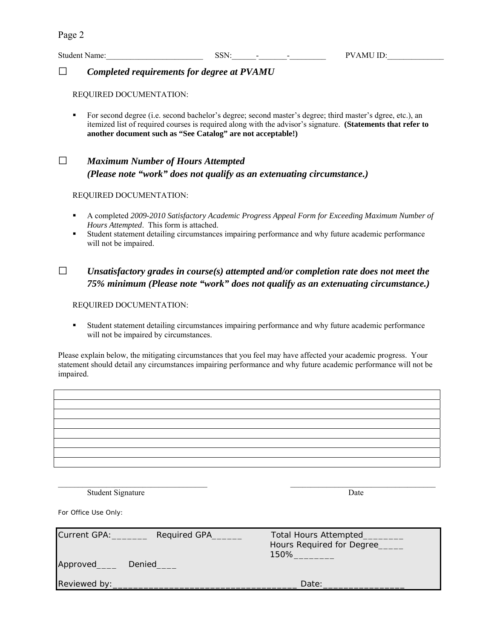### □ *Completed requirements for degree at PVAMU*

REQUIRED DOCUMENTATION:

For second degree (i.e. second bachelor's degree; second master's degree; third master's dgree, etc.), an itemized list of required courses is required along with the advisor's signature. **(Statements that refer to another document such as "See Catalog" are not acceptable!)** 

# □ *Maximum Number of Hours Attempted (Please note "work" does not qualify as an extenuating circumstance.)*

#### REQUIRED DOCUMENTATION:

- A completed *2009-2010 Satisfactory Academic Progress Appeal Form for Exceeding Maximum Number of Hours Attempted*. This form is attached.
- Student statement detailing circumstances impairing performance and why future academic performance will not be impaired.

## $\square$  *Unsatisfactory grades in course(s) attempted and/or completion rate does not meet the 75% minimum (Please note "work" does not qualify as an extenuating circumstance.)*

#### REQUIRED DOCUMENTATION:

 Student statement detailing circumstances impairing performance and why future academic performance will not be impaired by circumstances.

Please explain below, the mitigating circumstances that you feel may have affected your academic progress. Your statement should detail any circumstances impairing performance and why future academic performance will not be impaired.

 $\mathcal{L}_\text{max}$  , and the contribution of the contribution of the contribution of the contribution of the contribution of the contribution of the contribution of the contribution of the contribution of the contribution of t Student Signature Date

*For Office Use Only:*

| Current GPA:<br>Approved | Required GPA<br><b>Denied</b> | <b>Total Hours Attempted</b><br>Hours Required for Degree<br>150% |
|--------------------------|-------------------------------|-------------------------------------------------------------------|
| Reviewed by:             |                               | Date:                                                             |